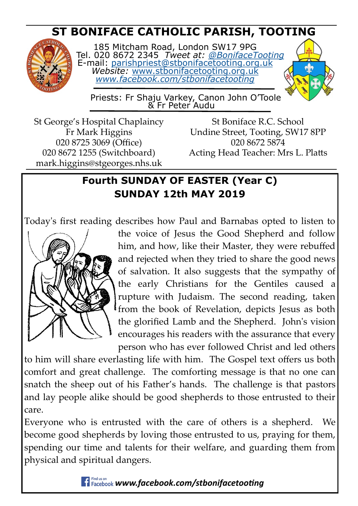# **ST BONIFACE CATHOLIC PARISH, TOOTING**



185 Mitcham Road, London SW17 9PG Tel. 020 8672 2345 *Tweet at: [@BonifaceTooting](http://twitter.com/bonifacetooting)* E-mail: [parishpriest@stbonifacetooting.org.uk](mailto:parishpriest@stbonifacetooting.org.uk) *Website:* [www.stbonifacetooting.org.uk](http://www.stbonifacetooting.org.uk) *[www.facebook.com/stbonifacetooting](http://www.facebook.com/stbonifacetooting)*



 Priests: Fr Shaju Varkey, Canon John O'Toole & Fr Peter Audu

St George's Hospital Chaplaincy Fr Mark Higgins 020 8725 3069 (Office) 020 8672 1255 (Switchboard) mark.higgins@stgeorges.nhs.uk

St Boniface R.C. School Undine Street, Tooting, SW17 8PP 020 8672 5874 Acting Head Teacher: Mrs L. Platts

## **Fourth SUNDAY OF EASTER (Year C) SUNDAY 12th MAY 2019**

Today's first reading describes how Paul and Barnabas opted to listen to



the voice of Jesus the Good Shepherd and follow him, and how, like their Master, they were rebuffed and rejected when they tried to share the good news of salvation. It also suggests that the sympathy of the early Christians for the Gentiles caused a rupture with Judaism. The second reading, taken from the book of Revelation, depicts Jesus as both the glorified Lamb and the Shepherd. John's vision encourages his readers with the assurance that every person who has ever followed Christ and led others

to him will share everlasting life with him. The Gospel text offers us both comfort and great challenge. The comforting message is that no one can snatch the sheep out of his Father's hands. The challenge is that pastors and lay people alike should be good shepherds to those entrusted to their care.

Everyone who is entrusted with the care of others is a shepherd. We become good shepherds by loving those entrusted to us, praying for them, spending our time and talents for their welfare, and guarding them from physical and spiritual dangers.

*Findus on* **www.facebook.com/stbonifacetooting**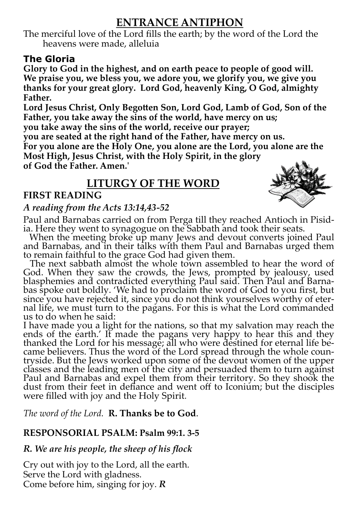## **ENTRANCE ANTIPHON**

The merciful love of the Lord fills the earth; by the word of the Lord the heavens were made, alleluia

## **The Gloria**

**Glory to God in the highest, and on earth peace to people of good will. We praise you, we bless you, we adore you, we glorify you, we give you thanks for your great glory. Lord God, heavenly King, O God, almighty Father.** 

**Lord Jesus Christ, Only Begotten Son, Lord God, Lamb of God, Son of the Father, you take away the sins of the world, have mercy on us;**

**you take away the sins of the world, receive our prayer;**

**you are seated at the right hand of the Father, have mercy on us.** 

**For you alone are the Holy One, you alone are the Lord, you alone are the Most High, Jesus Christ, with the Holy Spirit, in the glory** 

**of God the Father. Amen.'**

## **LITURGY OF THE WORD**

## **FIRST READING**



### *A reading from the Acts 13:14,43-52*

Paul and Barnabas carried on from Perga till they reached Antioch in Pisidia. Here they went to synagogue on the Sabbath and took their seats.

When the meeting broke up many Jews and devout converts joined Paul and Barnabas, and in their talks with them Paul and Barnabas urged them to remain faithful to the grace God had given them.

The next sabbath almost the whole town assembled to hear the word of God. When they saw the crowds, the Jews, prompted by jealousy, used blasphemies and contradicted everything Paul said. Then Paul and Barnabas spoke out boldly. 'We had to proclaim the word of God to you first, but since you have rejected it, since you do not think yourselves worthy of eternal life, we must turn to the pagans. For this is what the Lord commanded us to do when he said:

I have made you a light for the nations, so that my salvation may reach the ends of the earth.' It made the pagans very happy to hear this and they thanked the Lord for his message; all who were destined for eternal life became believers. Thus the word of the Lord spread through the whole countryside. But the Jews worked upon some of the devout women of the upper classes and the leading men of the city and persuaded them to turn against Paul and Barnabas and expel them from their territory. So they shook the dust from their feet in defiance and went off to Iconium; but the disciples were filled with joy and the Holy Spirit*.*

*The word of the Lord.* **R. Thanks be to God**.

## **RESPONSORIAL PSALM: Psalm 99:1. 3-5**

## *R. We are his people, the sheep of his flock*

Cry out with joy to the Lord, all the earth. Serve the Lord with gladness. Come before him, singing for joy. *R*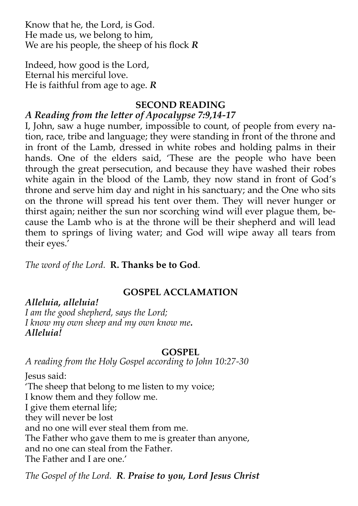Know that he, the Lord, is God. He made us, we belong to him, We are his people, the sheep of his flock *R*

Indeed, how good is the Lord, Eternal his merciful love. He is faithful from age to age. *R*

#### **SECOND READING**

### *A Reading from the letter of Apocalypse 7:9,14-17*

I, John, saw a huge number, impossible to count, of people from every nation, race, tribe and language; they were standing in front of the throne and in front of the Lamb, dressed in white robes and holding palms in their hands. One of the elders said, 'These are the people who have been through the great persecution, and because they have washed their robes white again in the blood of the Lamb, they now stand in front of God's throne and serve him day and night in his sanctuary; and the One who sits on the throne will spread his tent over them. They will never hunger or thirst again; neither the sun nor scorching wind will ever plague them, because the Lamb who is at the throne will be their shepherd and will lead them to springs of living water; and God will wipe away all tears from their eyes.'

*The word of the Lord.* **R. Thanks be to God**.

## **GOSPEL ACCLAMATION**

*Alleluia, alleluia! I am the good shepherd, says the Lord; I know my own sheep and my own know me. Alleluia!*

#### **GOSPEL**

*A reading from the Holy Gospel according to John 10:27-30*

Jesus said: 'The sheep that belong to me listen to my voice; I know them and they follow me. I give them eternal life; they will never be lost and no one will ever steal them from me. The Father who gave them to me is greater than anyone, and no one can steal from the Father. The Father and I are one.'

*The Gospel of the Lord. R. Praise to you, Lord Jesus Christ*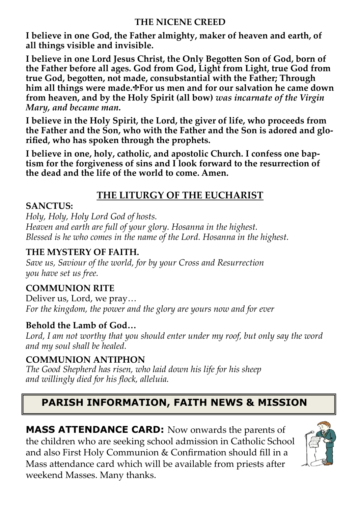#### **THE NICENE CREED**

**I believe in one God, the Father almighty, maker of heaven and earth, of all things visible and invisible.**

**I believe in one Lord Jesus Christ, the Only Begotten Son of God, born of the Father before all ages. God from God, Light from Light, true God from true God, begotten, not made, consubstantial with the Father; Through him all things were made.
For us men and for our salvation he came down from heaven, and by the Holy Spirit (all bow)** *was incarnate of the Virgin Mary, and became man.*

**I believe in the Holy Spirit, the Lord, the giver of life, who proceeds from the Father and the Son, who with the Father and the Son is adored and glorified, who has spoken through the prophets.**

**I believe in one, holy, catholic, and apostolic Church. I confess one baptism for the forgiveness of sins and I look forward to the resurrection of the dead and the life of the world to come. Amen.** 

## **THE LITURGY OF THE EUCHARIST**

#### **SANCTUS:**

*Holy, Holy, Holy Lord God of hosts. Heaven and earth are full of your glory. Hosanna in the highest. Blessed is he who comes in the name of the Lord. Hosanna in the highest.* 

### **THE MYSTERY OF FAITH.**

*Save us, Saviour of the world, for by your Cross and Resurrection you have set us free.* 

## **COMMUNION RITE**

Deliver us, Lord, we pray… *For the kingdom, the power and the glory are yours now and for ever*

## **Behold the Lamb of God…**

*Lord, I am not worthy that you should enter under my roof, but only say the word and my soul shall be healed.*

## **COMMUNION ANTIPHON**

*The Good Shepherd has risen, who laid down his life for his sheep and willingly died for his flock, alleluia.* 

## **PARISH INFORMATION, FAITH NEWS & MISSION**

**MASS ATTENDANCE CARD:** Now onwards the parents of the children who are seeking school admission in Catholic School and also First Holy Communion & Confirmation should fill in a Mass attendance card which will be available from priests after weekend Masses. Many thanks.

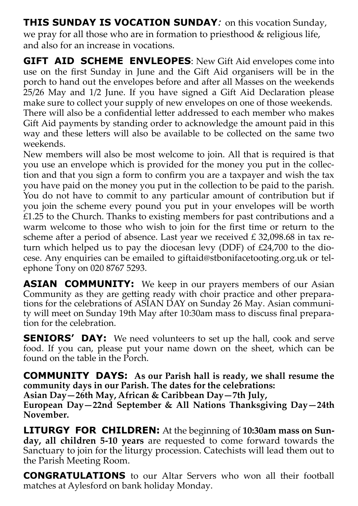**THIS SUNDAY IS VOCATION SUNDAY***:* on this vocation Sunday, we pray for all those who are in formation to priesthood & religious life, and also for an increase in vocations.

**GIFT AID SCHEME ENVLEOPES:** New Gift Aid envelopes come into use on the first Sunday in June and the Gift Aid organisers will be in the porch to hand out the envelopes before and after all Masses on the weekends 25/26 May and 1/2 June. If you have signed a Gift Aid Declaration please make sure to collect your supply of new envelopes on one of those weekends. There will also be a confidential letter addressed to each member who makes Gift Aid payments by standing order to acknowledge the amount paid in this way and these letters will also be available to be collected on the same two weekends.

New members will also be most welcome to join. All that is required is that you use an envelope which is provided for the money you put in the collection and that you sign a form to confirm you are a taxpayer and wish the tax you have paid on the money you put in the collection to be paid to the parish. You do not have to commit to any particular amount of contribution but if you join the scheme every pound you put in your envelopes will be worth  $E$ 1.25 to the Church. Thanks to existing members for past contributions and a warm welcome to those who wish to join for the first time or return to the scheme after a period of absence. Last year we received  $\text{\textsterling}$  32,098.68 in tax return which helped us to pay the diocesan levy (DDF) of £24,700 to the diocese. Any enquiries can be emailed to giftaid@stbonifacetooting.org.uk or telephone Tony on 020 8767 5293.

**ASIAN COMMUNITY:** We keep in our prayers members of our Asian Community as they are getting ready with choir practice and other preparations for the celebrations of ASIAN DAY on Sunday 26 May. Asian community will meet on Sunday 19th May after 10:30am mass to discuss final preparation for the celebration.

**SENIORS' DAY:** We need volunteers to set up the hall, cook and serve food. If you can, please put your name down on the sheet, which can be found on the table in the Porch.

**COMMUNITY DAYS: As our Parish hall is ready, we shall resume the community days in our Parish. The dates for the celebrations:** 

**Asian Day—26th May, African & Caribbean Day—7th July,** 

**European Day—22nd September & All Nations Thanksgiving Day—24th November.**

**LITURGY FOR CHILDREN:** At the beginning of **10:30am mass on Sunday, all children 5-10 years** are requested to come forward towards the Sanctuary to join for the liturgy procession. Catechists will lead them out to the Parish Meeting Room.

**CONGRATULATIONS** to our Altar Servers who won all their football matches at Aylesford on bank holiday Monday.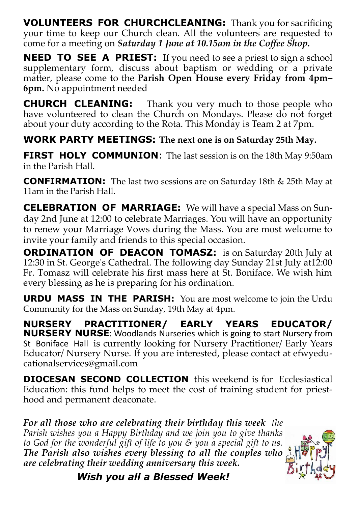**VOLUNTEERS FOR CHURCHCLEANING:** Thank you for sacrificing your time to keep our Church clean. All the volunteers are requested to come for a meeting on *Saturday 1 June at 10.15am in the Coffee Shop.*

**NEED TO SEE A PRIEST:** If you need to see a priest to sign a school supplementary form, discuss about baptism or wedding or a private matter, please come to the **Parish Open House every Friday from 4pm– 6pm.** No appointment needed

**CHURCH CLEANING:** Thank you very much to those people who have volunteered to clean the Church on Mondays. Please do not forget about your duty according to the Rota. This Monday is Team 2 at 7pm.

**WORK PARTY MEETINGS: The next one is on Saturday 25th May.** 

**FIRST HOLY COMMUNION:** The last session is on the 18th May 9:50am in the Parish Hall.

**CONFIRMATION:** The last two sessions are on Saturday 18th & 25th May at 11am in the Parish Hall.

**CELEBRATION OF MARRIAGE:** We will have a special Mass on Sunday 2nd June at 12:00 to celebrate Marriages. You will have an opportunity to renew your Marriage Vows during the Mass. You are most welcome to invite your family and friends to this special occasion.

**ORDINATION OF DEACON TOMASZ:** is on Saturday 20th July at 12:30 in St. George's Cathedral. The following day Sunday 21st July at12:00 Fr. Tomasz will celebrate his first mass here at St. Boniface. We wish him every blessing as he is preparing for his ordination.

**URDU MASS IN THE PARISH:** You are most welcome to join the Urdu Community for the Mass on Sunday, 19th May at 4pm.

**NURSERY PRACTITIONER/ EARLY YEARS EDUCATOR/ NURSERY NURSE**: Woodlands Nurseries which is going to start Nursery from St Boniface Hall is currently looking for Nursery Practitioner/ Early Years Educator/ Nursery Nurse. If you are interested, please contact at efwyeducationalservices@gmail.com

**DIOCESAN SECOND COLLECTION** this weekend is for Ecclesiastical Education: this fund helps to meet the cost of training student for priesthood and permanent deaconate.

*For all those who are celebrating their birthday this week the Parish wishes you a Happy Birthday and we join you to give thanks to God for the wonderful gift of life to you & you a special gift to us. The Parish also wishes every blessing to all the couples who are celebrating their wedding anniversary this week.*



*Wish you all a Blessed Week!*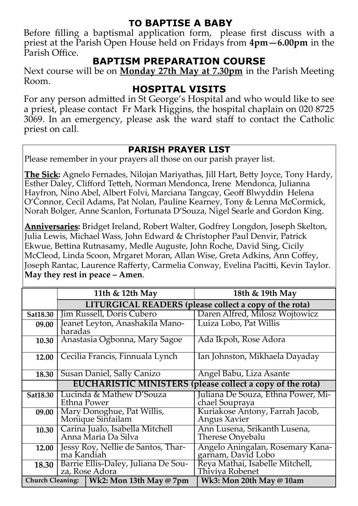## **TO BAPTISE A BABY**

Before filling a baptismal application form, please first discuss with a priest at the Parish Open House held on Fridays from **4pm—6.00pm** in the Parish Office.

### **BAPTISM PREPARATION COURSE**

Next course will be on **Monday 27th May at 7.30pm** in the Parish Meeting Room.

### **HOSPITAL VISITS**

For any person admitted in St George's Hospital and who would like to see a priest, please contact Fr Mark Higgins, the hospital chaplain on 020 8725 3069. In an emergency, please ask the ward staff to contact the Catholic priest on call.

#### **PARISH PRAYER LIST**

Please remember in your prayers all those on our parish prayer list.

**The Sick:** Agnelo Fernades, Nilojan Mariyathas, Jill Hart, Betty Joyce, Tony Hardy, Esther Daley, Clifford Tetteh, Norman Mendonca, Irene Mendonca, Julianna Hayfron, Nino Abel, Albert Folvi, Marciana Tangcay, Geoff Blwyddin Helena O'Connor, Cecil Adams, Pat Nolan, Pauline Kearney, Tony & Lenna McCormick, Norah Bolger, Anne Scanlon, Fortunata D'Souza, Nigel Searle and Gordon King.

**Anniversaries:** Bridget Ireland, Robert Walter, Godfrey Longdon, Joseph Skelton, Julia Lewis, Michael Wass, John Edward & Christopher Paul Denvir, Patrick Ekwue, Bettina Rutnasamy, Medle Auguste, John Roche, David Sing, Cicily McCleod, Linda Scoon, Mrgaret Moran, Allan Wise, Greta Adkins, Ann Coffey, Joseph Rantac, Laurence Rafferty, Carmelia Conway, Evelina Pacitti, Kevin Taylor. **May they rest in peace – Amen**.

|          | 11th & 12th May                                                  |                                            | 18th & 19th May                                         |  |  |
|----------|------------------------------------------------------------------|--------------------------------------------|---------------------------------------------------------|--|--|
|          | LITURGICAL READERS (please collect a copy of the rota)           |                                            |                                                         |  |  |
| Sat18.30 | Jim Russell, Doris Cubero                                        |                                            | Daren Alfred, Milosz Wojtowicz                          |  |  |
| 09.00    | Jeanet Leyton, Anashakila Mano-<br>haradas                       |                                            | Luiza Lobo, Pat Willis                                  |  |  |
| 10.30    | Anastasia Ogbonna, Mary Sagoe                                    |                                            | Ada Ikpoh, Rose Adora                                   |  |  |
| 12.00    | Cecilia Francis, Finnuala Lynch                                  |                                            | Ian Johnston, Mikhaela Dayaday                          |  |  |
| 18.30    |                                                                  | Susan Daniel, Sally Canizo                 | Angel Babu, Liza Asante                                 |  |  |
|          | <b>EUCHARISTIC MINISTERS (please collect a copy of the rota)</b> |                                            |                                                         |  |  |
| Sat18.30 | Lucinda & Mathew D'Souza<br>Ethna Power                          |                                            | Juliana De Souza, Ethna Power, Mi-<br>chael Soupraya    |  |  |
| 09.00    | Mary Donoghue, Pat Willis,<br>Monique Sinfailam                  |                                            | Kuriakose Antony, Farrah Jacob,<br>Angus Xavier         |  |  |
| 10.30    | Carina Jualo, Isabella Mitchell<br>Anna Maria Da Silva           |                                            | Ann Lusena, Srikanth Lusena,<br><b>Therese Onyebalu</b> |  |  |
| 12.00    | Jessy Roy, Nellie de Santos, Thar-<br>ma Kandiah                 |                                            | Angelo Aningalan, Rosemary Kana-<br>garnam, David Lobo  |  |  |
| 18.30    | Barrie Ellis-Daley, Juliana De Sou-<br>za, Rose Adora            |                                            | Reya Mathai, Isabelle Mitchell,<br>Thiviya Robenet      |  |  |
|          |                                                                  | Church Cleaning:   Wk2: Mon 13th May @ 7pm | Wk3: Mon 20th May $@$ 10am                              |  |  |